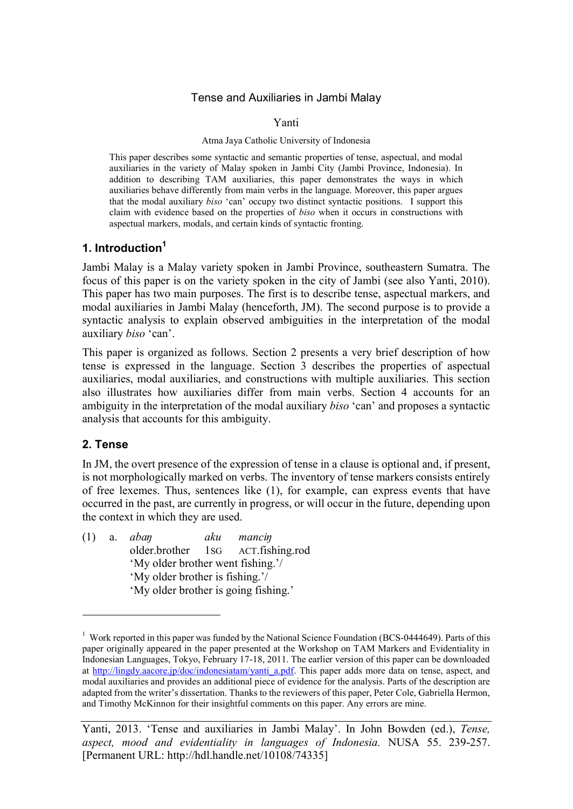### Tense and Auxiliaries in Jambi Malay

#### Yanti

#### Atma Jaya Catholic University of Indonesia

This paper describes some syntactic and semantic properties of tense, aspectual, and modal auxiliaries in the variety of Malay spoken in Jambi City (Jambi Province, Indonesia). In addition to describing TAM auxiliaries, this paper demonstrates the ways in which auxiliaries behave differently from main verbs in the language. Moreover, this paper argues that the modal auxiliary *biso* 'can' occupy two distinct syntactic positions. I support this claim with evidence based on the properties of *biso* when it occurs in constructions with aspectual markers, modals, and certain kinds of syntactic fronting.

### **1. Introduction<sup>1</sup>**

Jambi Malay is a Malay variety spoken in Jambi Province, southeastern Sumatra. The focus of this paper is on the variety spoken in the city of Jambi (see also Yanti, 2010). This paper has two main purposes. The first is to describe tense, aspectual markers, and modal auxiliaries in Jambi Malay (henceforth, JM). The second purpose is to provide a syntactic analysis to explain observed ambiguities in the interpretation of the modal auxiliary *biso* 'can'.

This paper is organized as follows. Section 2 presents a very brief description of how tense is expressed in the language. Section 3 describes the properties of aspectual auxiliaries, modal auxiliaries, and constructions with multiple auxiliaries. This section also illustrates how auxiliaries differ from main verbs. Section 4 accounts for an ambiguity in the interpretation of the modal auxiliary *biso* 'can' and proposes a syntactic analysis that accounts for this ambiguity.

## **2. Tense**

In JM, the overt presence of the expression of tense in a clause is optional and, if present, is not morphologically marked on verbs. The inventory of tense markers consists entirely of free lexemes. Thus, sentences like (1), for example, can express events that have occurred in the past, are currently in progress, or will occur in the future, depending upon the context in which they are used.

(1) a. *abaŋ aku manciŋ* older.brother 1SG ACT.fishing.rod 'My older brother went fishing.'/ 'My older brother is fishing.'/ 'My older brother is going fishing.'

<sup>&</sup>lt;sup>1</sup> Work reported in this paper was funded by the National Science Foundation (BCS-0444649). Parts of this paper originally appeared in the paper presented at the Workshop on TAM Markers and Evidentiality in Indonesian Languages, Tokyo, February 17-18, 2011. The earlier version of this paper can be downloaded at http://lingdy.aacore.jp/doc/indonesiatam/yanti\_a.pdf. This paper adds more data on tense, aspect, and modal auxiliaries and provides an additional piece of evidence for the analysis. Parts of the description are adapted from the writer's dissertation. Thanks to the reviewers of this paper, Peter Cole, Gabriella Hermon, and Timothy McKinnon for their insightful comments on this paper. Any errors are mine.

Yanti, 2013. 'Tense and auxiliaries in Jambi Malay'. In John Bowden (ed.), *Tense, aspect, mood and evidentiality in languages of Indonesia.* NUSA 55. 239-257. [Permanent URL: http://hdl.handle.net/10108/74335]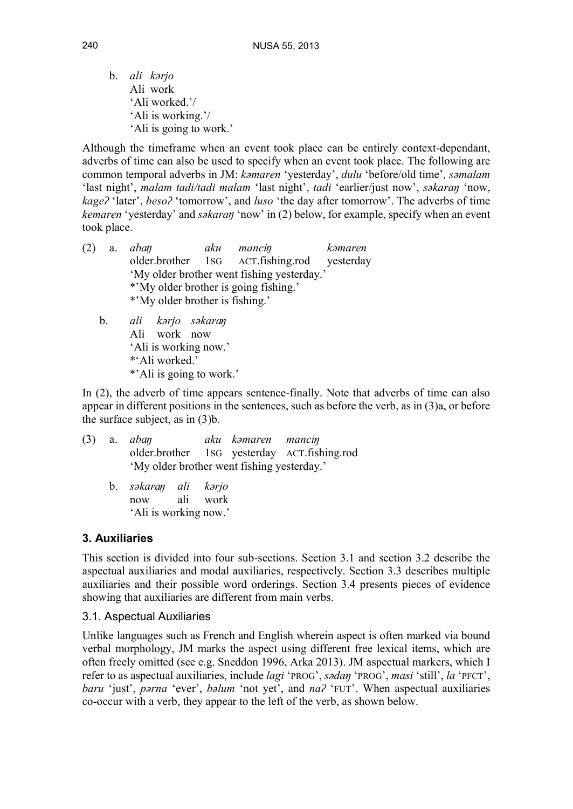b. *ali kərjo* Ali work 'Ali worked.'/ 'Ali is working.'/ 'Ali is going to work.'

Although the timeframe when an event took place can be entirely context-dependant, adverbs of time can also be used to specify when an event took place. The following are common temporal adverbs in JM: *kəmaren* 'yesterday', *dulu* 'before/old time'*, səmalam* 'last night', *malam tadi/tadi malam* 'last night', *tadi* 'earlier/just now', *səkaraŋ* 'now, *kageʔ* 'later', *besoʔ* 'tomorrow', and *luso* 'the day after tomorrow'. The adverbs of time *kemaren* 'yesterday' and *səkaran* 'now' in (2) below, for example, specify when an event took place.

- (2) a. *abaŋ aku manciŋ kəmaren* older.brother 1SG ACT.fishing.rod yesterday 'My older brother went fishing yesterday.' \*'My older brother is going fishing.' \*'My older brother is fishing.' b. *ali kərjo səkaraŋ*
	- Ali work now 'Ali is working now.' \*'Ali worked.' \*'Ali is going to work.'

In (2), the adverb of time appears sentence-finally. Note that adverbs of time can also appear in different positions in the sentences, such as before the verb, as in  $(3)a$ , or before the surface subject, as in (3)b.

|  | $(3)$ a. <i>aban</i>                                          |  | aku kəmaren mancin |                                             |  |
|--|---------------------------------------------------------------|--|--------------------|---------------------------------------------|--|
|  | 'My older brother went fishing yesterday.'                    |  |                    | older.brother 1sG yesterday ACT.fishing.rod |  |
|  | b. səkaran ali kərjo<br>now ali work<br>'Ali is working now.' |  |                    |                                             |  |

## **3. Auxiliaries**

This section is divided into four sub-sections. Section 3.1 and section 3.2 describe the aspectual auxiliaries and modal auxiliaries, respectively. Section 3.3 describes multiple auxiliaries and their possible word orderings. Section 3.4 presents pieces of evidence showing that auxiliaries are different from main verbs.

### 3.1. Aspectual Auxiliaries

Unlike languages such as French and English wherein aspect is often marked via bound verbal morphology, JM marks the aspect using different free lexical items, which are often freely omitted (see e.g. Sneddon 1996, Arka 2013). JM aspectual markers, which I refer to as aspectual auxiliaries, include *lagi* 'PROG', *sədaŋ* 'PROG', *masi* 'still', *la* 'PFCT', *baru* 'just', *pərna* 'ever', *bəlum* 'not yet', and *naʔ* 'FUT'. When aspectual auxiliaries co-occur with a verb, they appear to the left of the verb, as shown below.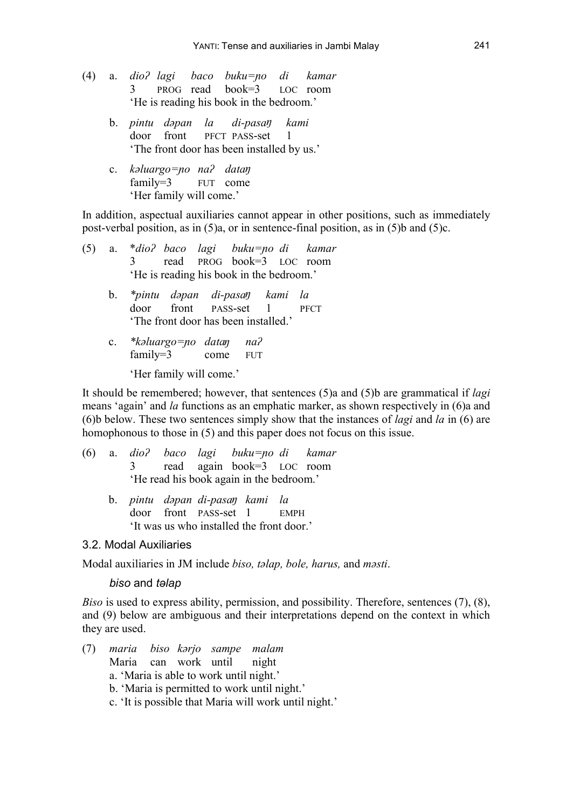- (4) a. *dioʔ lagi baco buku=ɲo dikamar* 3 PROG read book=3 LOC room 'He is reading his book in the bedroom.'
	- b. *pintu dəpan la di-pasaŋ kami* door front PFCT PASS-set 1 'The front door has been installed by us.'
	- c. *kəluargo=ɲo naʔ dataŋ* family=3 FUT come 'Her family will come.'

In addition, aspectual auxiliaries cannot appear in other positions, such as immediately post-verbal position, as in (5)a, or in sentence-final position, as in (5)b and (5)c.

- (5) a. \**dioʔ baco lagi buku=ɲo di kamar* 3 read PROG book=3 LOC room 'He is reading his book in the bedroom.'
	- b. *\*pintu dəpan di-pasaŋ kami la* door front PASS-set 1 PFCT 'The front door has been installed.'
	- c. *\*kəluargo=ɲo dataŋ naʔ* family=3 come FUT

'Her family will come.'

It should be remembered; however, that sentences (5)a and (5)b are grammatical if *lagi* means 'again' and *la* functions as an emphatic marker, as shown respectively in (6)a and (6)b below. These two sentences simply show that the instances of *lagi* and *la* in (6) are homophonous to those in (5) and this paper does not focus on this issue.

- (6) a. *dioʔ baco lagi buku=ɲo di kamar* 3 read again book=3 LOC room 'He read his book again in the bedroom.'
	- b. *pintu dəpan di-pasaŋ kami la* door front PASS-set 1 EMPH 'It was us who installed the front door.'

#### 3.2. Modal Auxiliaries

Modal auxiliaries in JM include *biso, təlap, bole, harus,* and *məsti*.

#### *biso* and *təlap*

*Biso* is used to express ability, permission, and possibility. Therefore, sentences (7), (8), and (9) below are ambiguous and their interpretations depend on the context in which they are used.

(7) *maria biso kərjo sampe malam* Maria can work until night a. 'Maria is able to work until night.' b. 'Maria is permitted to work until night.' c. 'It is possible that Maria will work until night.'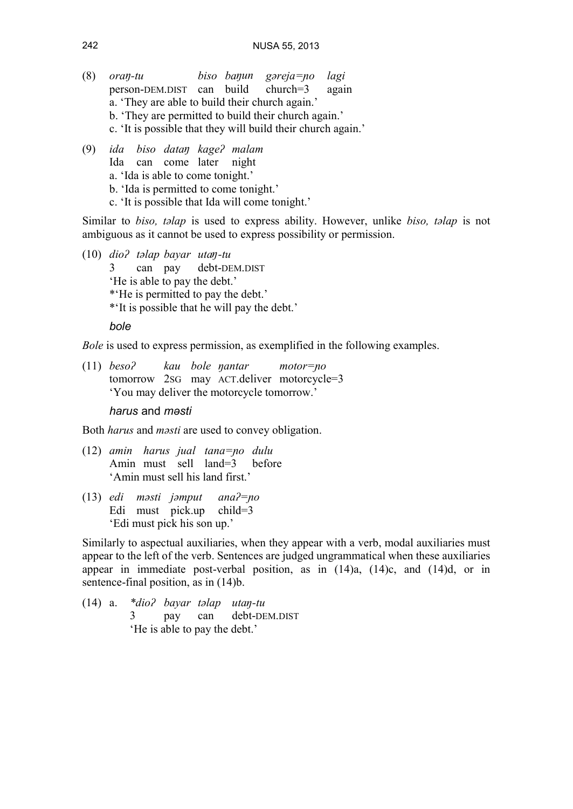- (8) *oraŋ-tu biso baŋun gəreja=ɲo lagi* person-DEM.DIST can build church=3 again a. 'They are able to build their church again.' b. 'They are permitted to build their church again.' c. 'It is possible that they will build their church again.'
- (9) *ida biso dataŋ kageʔ malam* Ida can come later night a. 'Ida is able to come tonight.' b. 'Ida is permitted to come tonight.' c. 'It is possible that Ida will come tonight.'

Similar to *biso, təlap* is used to express ability. However, unlike *biso, təlap* is not ambiguous as it cannot be used to express possibility or permission.

(10) *dioʔ təlap bayar utaŋ-tu* debt-DEM.DIST 'He is able to pay the debt.' \*'He is permitted to pay the debt.' \*'It is possible that he will pay the debt.'

*bole*

*Bole* is used to express permission, as exemplified in the following examples.

(11) *besoʔ kau bole ŋantar motor=ɲo* tomorrow 2SG may ACT.deliver motorcycle=3 'You may deliver the motorcycle tomorrow.'

*harus* and *məsti*

Both *harus* and *məsti* are used to convey obligation.

- (12) *amin harus jual tana=ɲo dulu* Amin must sell land=3 before 'Amin must sell his land first.'
- (13) *edi məsti jəmput anaʔ=ɲo* Edi must pick.up child=3 'Edi must pick his son up.'

Similarly to aspectual auxiliaries, when they appear with a verb, modal auxiliaries must appear to the left of the verb. Sentences are judged ungrammatical when these auxiliaries appear in immediate post-verbal position, as in (14)a, (14)c, and (14)d, or in sentence-final position, as in (14)b.

(14) a. *\*dioʔ bayar təlap utaŋ-tu* pay can debt-DEM.DIST 'He is able to pay the debt.'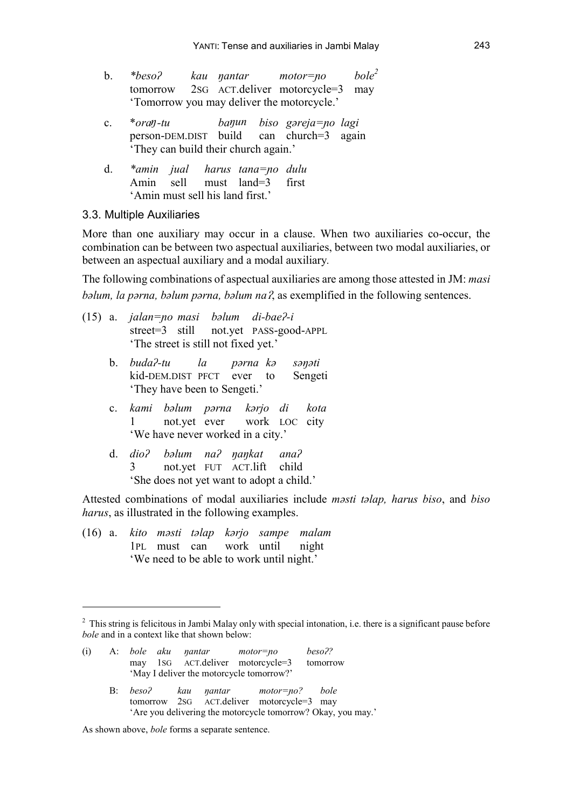- b. *\*besoʔ kau ŋantar motor=ɲo bole<sup>2</sup>* tomorrow 2SG ACT.deliver motorcycle=3 may 'Tomorrow you may deliver the motorcycle.'
- c. \**oraŋ-tu baŋun biso gəreja=ɲo lagi* person-DEM.DIST build can church=3 again 'They can build their church again.'
- d. *\*amin jual harus tana=ɲo dulu* Amin sell must land=3 first 'Amin must sell his land first.'

### 3.3. Multiple Auxiliaries

More than one auxiliary may occur in a clause. When two auxiliaries co-occur, the combination can be between two aspectual auxiliaries, between two modal auxiliaries, or between an aspectual auxiliary and a modal auxiliary*.*

The following combinations of aspectual auxiliaries are among those attested in JM: *masi bəlum, la pərna, bəlum pərna, bəlum naʔ*, as exemplified in the following sentences.

- (15) a. *jalan=ɲo masi bəlum di-baeʔ-i* street=3 still not.yet PASS-good-APPL 'The street is still not fixed yet.'
	- b. *budaʔ-tu la pərna kə səŋəti* kid-DEM.DIST PFCT ever to Sengeti 'They have been to Sengeti.'
	- c. *kami bəlum pərna kərjo di kota* 1 not.yet ever work LOC city 'We have never worked in a city.'
	- d. *dioʔ bəlum naʔ ŋaŋkat anaʔ* 3 not.yet FUT ACT.lift child 'She does not yet want to adopt a child.'

Attested combinations of modal auxiliaries include *məsti təlap, harus biso*, and *biso harus*, as illustrated in the following examples.

(16) a. *kito məsti təlap kərjo sampe malam* 1PL must can work until night 'We need to be able to work until night.'

 $<sup>2</sup>$  This string is felicitous in Jambi Malay only with special intonation, i.e. there is a significant pause before</sup> *bole* and in a context like that shown below:

| (i) |       | A: bole aku nantar motor=no |                                          | may 1sG ACT.deliver motorcycle=3 tomorrow                                    | beso?? |
|-----|-------|-----------------------------|------------------------------------------|------------------------------------------------------------------------------|--------|
|     |       |                             | 'May I deliver the motorcycle tomorrow?' |                                                                              |        |
|     | $B$ : |                             |                                          | beso? kau nantar motor=no? bole<br>tomorrow 2sG ACT.deliver motorcycle=3 may |        |

<sup>&#</sup>x27;Are you delivering the motorcycle tomorrow? Okay, you may.'

As shown above, *bole* forms a separate sentence.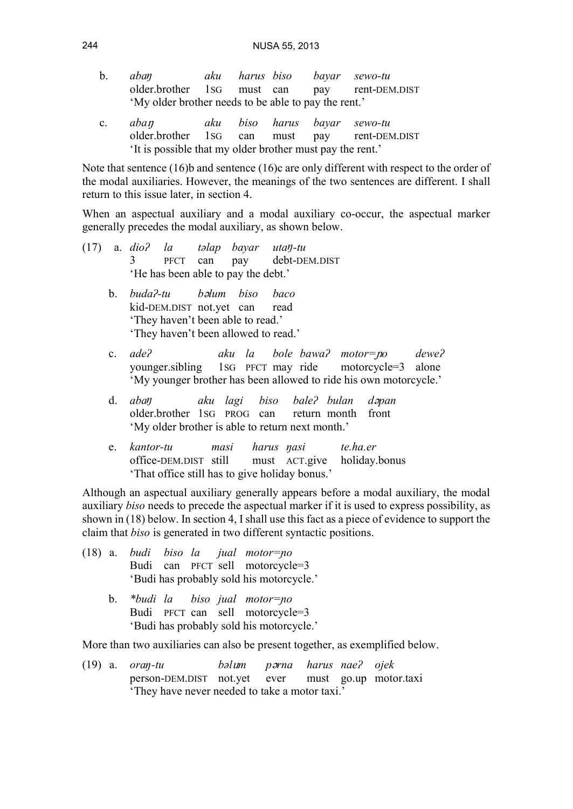| b. | aban                                                 |  |  | aku harus biso bayar sewo-tu |
|----|------------------------------------------------------|--|--|------------------------------|
|    | older.brother 1sG must can pay rent-DEM.DIST         |  |  |                              |
|    | 'My older brother needs to be able to pay the rent.' |  |  |                              |
|    | c. <i>aban</i>                                       |  |  | aku biso harus bavar sewo-tu |

older.brother 1SG can must pay rent-DEM.DIST 'It is possible that my older brother must pay the rent.'

Note that sentence (16)b and sentence (16)c are only different with respect to the order of the modal auxiliaries. However, the meanings of the two sentences are different. I shall return to this issue later, in section 4.

When an aspectual auxiliary and a modal auxiliary co-occur, the aspectual marker generally precedes the modal auxiliary, as shown below.

- (17) a. *dioʔ la təlap bayar utaŋ-tu* debt-DEM.DIST 'He has been able to pay the debt.'
	- b. *buda?-tu balum biso baco kid-DEM.DIST* not vet can read kid-DEM.DIST not.yet can 'They haven't been able to read.' 'They haven't been allowed to read.'
	- c. *adeʔ aku la bole bawaʔ motor=ɲo deweʔ* younger.sibling 1SG PFCT may ride 'My younger brother has been allowed to ride his own motorcycle.'
	- d. *abaŋ aku lagi biso baleʔ bulan dəpan* older.brother 1SG PROG can 'My older brother is able to return next month.'
	- e. *kantor-tu masi harus ŋasi te.ha.er* office-DEM.DIST still must ACT.give holiday.bonus 'That office still has to give holiday bonus.'

Although an aspectual auxiliary generally appears before a modal auxiliary, the modal auxiliary *biso* needs to precede the aspectual marker if it is used to express possibility, as shown in (18) below. In section 4, I shall use this fact as a piece of evidence to support the claim that *biso* is generated in two different syntactic positions.

- (18) a. *budi biso la jual motor=ɲo* Budi can PFCT sell motorcycle=3 'Budi has probably sold his motorcycle.'
	- b. *\*budi la biso jual motor=ɲo* Budi PFCT can sell motorcycle=3 'Budi has probably sold his motorcycle.'

More than two auxiliaries can also be present together, as exemplified below.

(19) a. *oraŋ-tu bəlum pərna harus naeʔ ojek* person-DEM.DIST not.yet ever must go.up motor.taxi 'They have never needed to take a motor taxi.'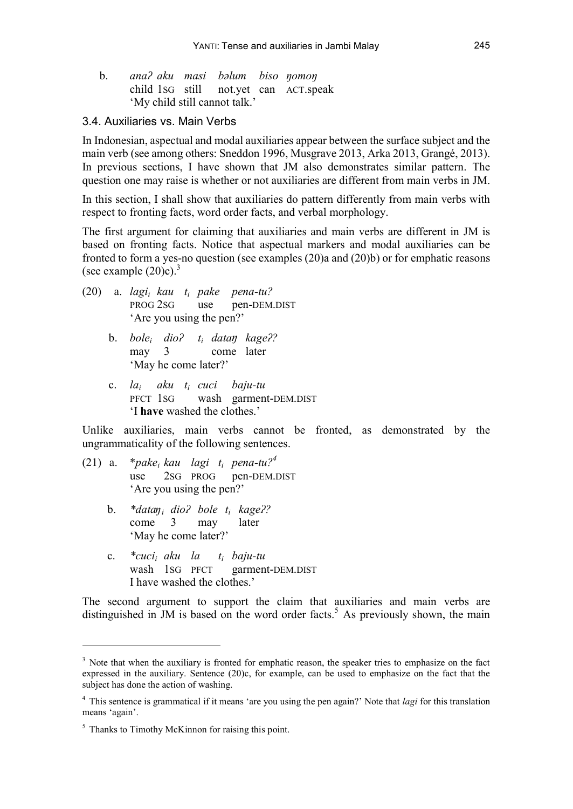| b. ana? aku masi bəlum biso nomon |  |                                       |
|-----------------------------------|--|---------------------------------------|
|                                   |  | child 1sG still not.yet can ACT.speak |
| 'My child still cannot talk.'     |  |                                       |

#### 3.4. Auxiliaries vs. Main Verbs

In Indonesian, aspectual and modal auxiliaries appear between the surface subject and the main verb (see among others: Sneddon 1996, Musgrave 2013, Arka 2013, Grangé, 2013). In previous sections, I have shown that JM also demonstrates similar pattern. The question one may raise is whether or not auxiliaries are different from main verbs in JM.

In this section, I shall show that auxiliaries do pattern differently from main verbs with respect to fronting facts, word order facts, and verbal morphology.

The first argument for claiming that auxiliaries and main verbs are different in JM is based on fronting facts. Notice that aspectual markers and modal auxiliaries can be fronted to form a yes-no question (see examples (20)a and (20)b) or for emphatic reasons (see example  $(20)c$ ).<sup>3</sup>

- (20) a. *lagi<sup>i</sup> kau t<sup>i</sup> pake pena-tu?* PROG 2SG use pen-DEM.DIST 'Are you using the pen?'
	- b. *bole<sup>i</sup> dioʔ t<sup>i</sup> dataŋ kageʔ?* may 3 come later 'May he come later?'
	- c. *la<sup>i</sup> aku t<sup>i</sup> cuci baju-tu* PFCT 1SG wash garment-DEM.DIST 'I **have** washed the clothes.'

Unlike auxiliaries, main verbs cannot be fronted, as demonstrated by the ungrammaticality of the following sentences.

- (21) a.  $*{pake_i kau}$  *lagi*  $t_i$  *pena-tu?*<sup>4</sup><br>use 2sG PROG pen-DEM I 2sG PROG pen-DEM.DIST 'Are you using the pen?'
	- b. *\*dataŋ<sup>i</sup> dioʔ bole t<sup>i</sup> kageʔ?* come 3 may later 'May he come later?'
	- c. *\*cuci<sup>i</sup> aku la t<sup>i</sup> baju-tu* wash 1SG PFCT garment-DEM.DIST I have washed the clothes.'

The second argument to support the claim that auxiliaries and main verbs are distinguished in JM is based on the word order facts.<sup>5</sup> As previously shown, the main

 $3$  Note that when the auxiliary is fronted for emphatic reason, the speaker tries to emphasize on the fact expressed in the auxiliary. Sentence (20)c, for example, can be used to emphasize on the fact that the subject has done the action of washing.

<sup>4</sup> This sentence is grammatical if it means 'are you using the pen again?' Note that *lagi* for this translation means 'again'.

<sup>&</sup>lt;sup>5</sup> Thanks to Timothy McKinnon for raising this point.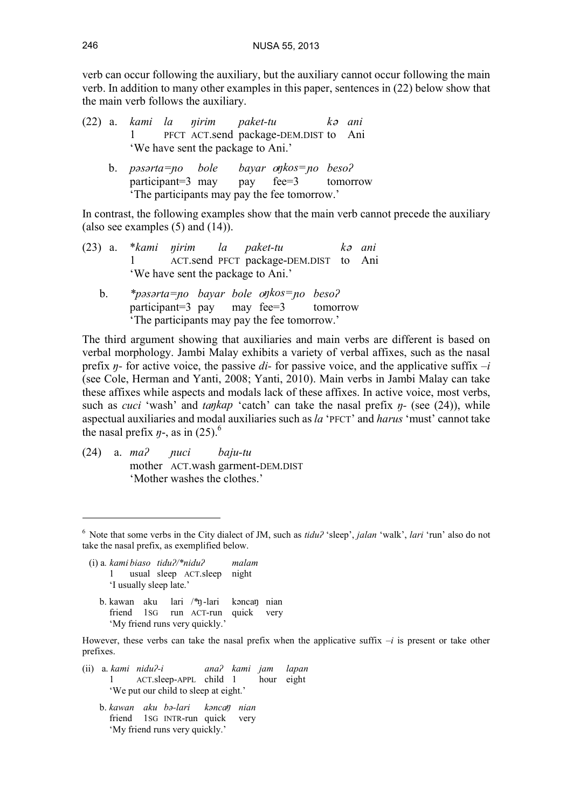verb can occur following the auxiliary, but the auxiliary cannot occur following the main verb. In addition to many other examples in this paper, sentences in (22) below show that the main verb follows the auxiliary.

- (22) a. *kami la ŋirim paket-tu k<sup>ə</sup> ani* 1 PFCT ACT.send package-DEM.DIST to Ani 'We have sent the package to Ani.'
	- b. *pəsərta=ɲo bole bayar oŋkos=ɲo besoʔ* participant=3 may pay fee=3 tomorrow 'The participants may pay the fee tomorrow.'

In contrast, the following examples show that the main verb cannot precede the auxiliary (also see examples (5) and (14)).

- (23) a. \**kami ŋirim la paket-tu k<sup>ə</sup> ani* 1 ACT.send PFCT package-DEM.DIST to Ani 'We have sent the package to Ani.'
	- b. *\*pəsərta=ɲo bayar bole oŋkos=ɲo besoʔ* participant=3 pay may fee=3 tomorrow 'The participants may pay the fee tomorrow.'

The third argument showing that auxiliaries and main verbs are different is based on verbal morphology. Jambi Malay exhibits a variety of verbal affixes, such as the nasal prefix *ŋ-* for active voice, the passive *di-* for passive voice, and the applicative suffix –*i* (see Cole, Herman and Yanti, 2008; Yanti, 2010). Main verbs in Jambi Malay can take these affixes while aspects and modals lack of these affixes. In active voice, most verbs, such as *cuci* 'wash' and *taŋkap* 'catch' can take the nasal prefix *ŋ-* (see (24)), while aspectual auxiliaries and modal auxiliaries such as *la* 'PFCT' and *harus* 'must' cannot take the nasal prefix  $\eta$ -, as in (25).<sup>6</sup>

(24) a. *maʔ ɲuci baju-tu* mother ACT.wash garment-DEM.DIST 'Mother washes the clothes.'

- (i) a*. kami biaso tiduʔ/\*niduʔ malam* 1 usual sleep ACT.sleep night 'I usually sleep late.'
	- b. kawan aku lari /\*ŋ-lari kəncaŋ nian friend 1SG run ACT-run quick very 'My friend runs very quickly.'

However, these verbs can take the nasal prefix when the applicative suffix  $-i$  is present or take other prefixes.

- (ii) a. *kami niduʔ-i anaʔ kami jam lapan* 1 ACT.sleep-APPL child 1 hour eight 'We put our child to sleep at eight.'
	- b. *kawan aku bə-lari kəncaŋ nian* friend 1SG INTR-run quick very 'My friend runs very quickly.'

<sup>6</sup> Note that some verbs in the City dialect of JM, such as *tiduʔ* 'sleep', *jalan* 'walk', *lari* 'run' also do not take the nasal prefix, as exemplified below.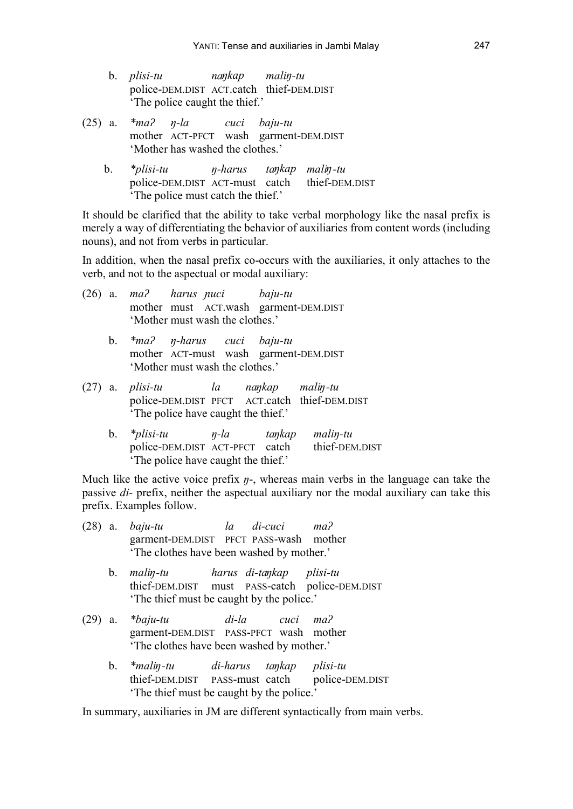- b. *plisi-tu naŋkap maliŋ-tu* police-DEM.DIST ACT.catch thief-DEM.DIST 'The police caught the thief.'
- (25) a. *\*maʔ ŋ-la cuci baju-tu* mother ACT-PFCT wash garment-DEM.DIST 'Mother has washed the clothes.'
	- b. *\*plisi-tu ŋ-harus taŋkap maliŋ-tu* police-DEM.DIST ACT-must catch thief-DEM.DIST 'The police must catch the thief.'

It should be clarified that the ability to take verbal morphology like the nasal prefix is merely a way of differentiating the behavior of auxiliaries from content words (including nouns), and not from verbs in particular.

In addition, when the nasal prefix co-occurs with the auxiliaries, it only attaches to the verb, and not to the aspectual or modal auxiliary:

|  | $(26)$ a. ma? harus puci baju-tu<br>'Mother must wash the clothes.'                                              | mother must ACT.wash garment-DEM.DIST |  |  |
|--|------------------------------------------------------------------------------------------------------------------|---------------------------------------|--|--|
|  | b. *ma? <i>n</i> -harus cuci baju-tu<br>mother ACT-must wash garment-DEM.DIST<br>'Mother must wash the clothes.' |                                       |  |  |
|  | (27) a. <i>plisi-tu</i> la naykap maliy-tu<br>police-DEM.DIST PFCT ACT.catch thief-DEM.DIST                      |                                       |  |  |

'The police have caught the thief.'

b. *\*plisi-tu ŋ-la taŋkap maliŋ-tu* police-DEM.DIST ACT-PFCT catch thief-DEM.DIST 'The police have caught the thief.'

Much like the active voice prefix *ŋ*-, whereas main verbs in the language can take the passive *di-* prefix, neither the aspectual auxiliary nor the modal auxiliary can take this prefix. Examples follow.

|  | (28) a. <i>baju-tu</i>                    | la di-cuci ma? |  |
|--|-------------------------------------------|----------------|--|
|  | garment-DEM.DIST PFCT PASS-wash mother    |                |  |
|  | 'The clothes have been washed by mother.' |                |  |

- b. *maliŋ-tu harus di-taŋkap plisi-tu* thief-DEM.DIST must PASS-catch police-DEM.DIST 'The thief must be caught by the police.'
- (29) a. *\*baju-tu di-la cuci maʔ* garment-DEM.DIST PASS-PFCT wash mother 'The clothes have been washed by mother.'
	- b. *\*maliŋ-tu di-harus taŋkap plisi-tu* thief-DEM.DIST PASS-must catch police-DEM.DIST 'The thief must be caught by the police.'

In summary, auxiliaries in JM are different syntactically from main verbs.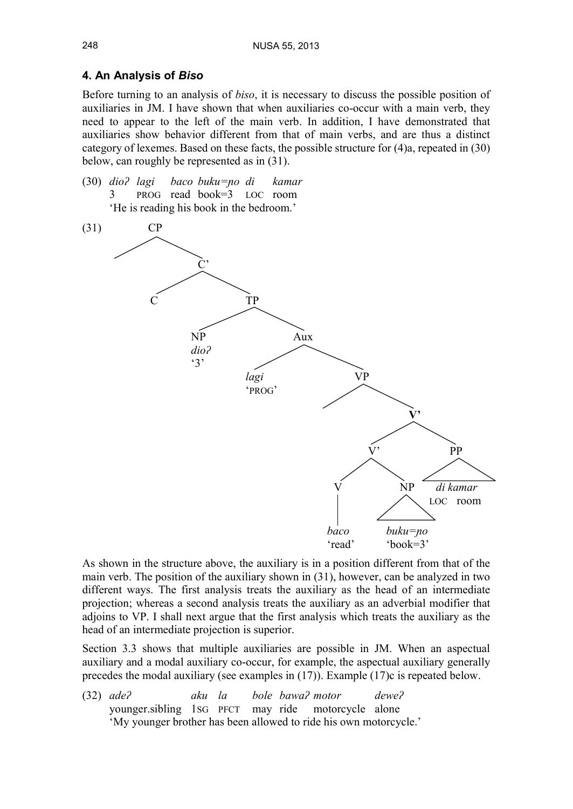## **4. An Analysis of** *Biso*

Before turning to an analysis of *biso*, it is necessary to discuss the possible position of auxiliaries in JM. I have shown that when auxiliaries co-occur with a main verb, they need to appear to the left of the main verb. In addition, I have demonstrated that auxiliaries show behavior different from that of main verbs, and are thus a distinct category of lexemes. Based on these facts, the possible structure for (4)a, repeated in (30) below, can roughly be represented as in (31).

(30) *dioʔ lagi baco buku=ɲo di kamar* 3 PROG read book=3 LOC room 'He is reading his book in the bedroom.'



As shown in the structure above, the auxiliary is in a position different from that of the main verb. The position of the auxiliary shown in (31), however, can be analyzed in two different ways. The first analysis treats the auxiliary as the head of an intermediate projection; whereas a second analysis treats the auxiliary as an adverbial modifier that adjoins to VP. I shall next argue that the first analysis which treats the auxiliary as the head of an intermediate projection is superior.

Section 3.3 shows that multiple auxiliaries are possible in JM. When an aspectual auxiliary and a modal auxiliary co-occur, for example, the aspectual auxiliary generally precedes the modal auxiliary (see examples in (17)). Example (17)c is repeated below.

(32) *adeʔ aku la bole bawaʔ motor deweʔ* younger.sibling 1SG PFCT may ride motorcycle alone 'My younger brother has been allowed to ride his own motorcycle.'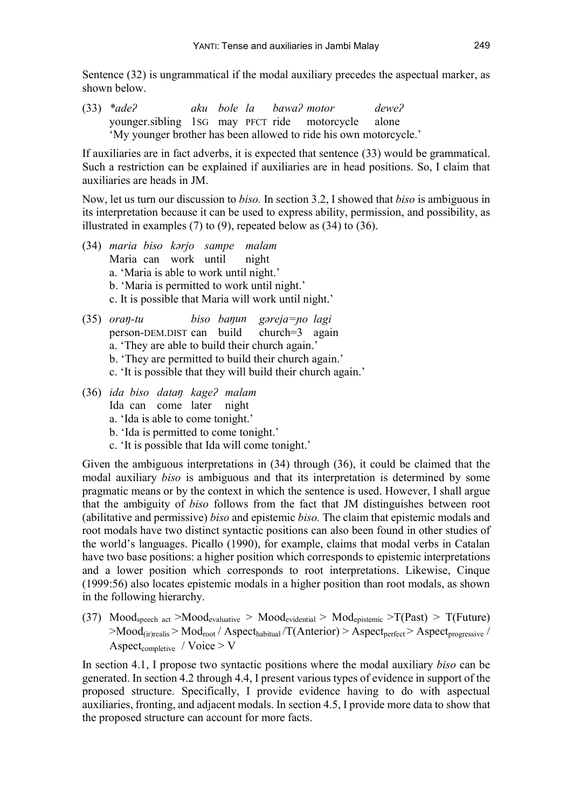Sentence (32) is ungrammatical if the modal auxiliary precedes the aspectual marker, as shown below.

(33) *\*adeʔ aku bole la bawaʔ motor deweʔ* younger.sibling 1SG may PFCT ride motorcycle alone 'My younger brother has been allowed to ride his own motorcycle.'

If auxiliaries are in fact adverbs, it is expected that sentence (33) would be grammatical. Such a restriction can be explained if auxiliaries are in head positions. So, I claim that auxiliaries are heads in JM.

Now, let us turn our discussion to *biso.*In section 3.2, I showed that *biso* is ambiguous in its interpretation because it can be used to express ability, permission, and possibility, as illustrated in examples  $(7)$  to  $(9)$ , repeated below as  $(34)$  to  $(36)$ .

- (34) *maria biso kərjo sampe malam* Maria can work until night a. 'Maria is able to work until night.' b. 'Maria is permitted to work until night.' c. It is possible that Maria will work until night.'
- (35) *oraŋ-tu biso baŋun gəreja=ɲo lagi* person-DEM.DIST can build church=3 again a. 'They are able to build their church again.' b. 'They are permitted to build their church again.' c. 'It is possible that they will build their church again.'
- (36) *ida biso dataŋ kageʔ malam* Ida can come later night a. 'Ida is able to come tonight.'
	- b. 'Ida is permitted to come tonight.'
	- c. 'It is possible that Ida will come tonight.'

Given the ambiguous interpretations in (34) through (36), it could be claimed that the modal auxiliary *biso* is ambiguous and that its interpretation is determined by some pragmatic means or by the context in which the sentence is used. However, I shall argue that the ambiguity of *biso* follows from the fact that JM distinguishes between root (abilitative and permissive) *biso* and epistemic *biso.* The claim that epistemic modals and root modals have two distinct syntactic positions can also been found in other studies of the world's languages. Picallo (1990), for example, claims that modal verbs in Catalan have two base positions: a higher position which corresponds to epistemic interpretations and a lower position which corresponds to root interpretations. Likewise, Cinque (1999:56) also locates epistemic modals in a higher position than root modals, as shown in the following hierarchy.

(37) Mood<sub>speech act</sub> >Mood<sub>evaluative</sub> > Mood<sub>evidential</sub> > Mod<sub>epistemic</sub> >  $T(Past)$  >  $T(Fature)$  $>$ Mood<sub>(ir)realis</sub>  $>$  Mod<sub>root</sub> / Aspect<sub>habitual</sub> /T(Anterior)  $>$  Aspect<sub>perfect</sub>  $>$  Aspect<sub>progressive</sub> / Aspect<sub>completive</sub> / Voice  $>$  V

In section 4.1, I propose two syntactic positions where the modal auxiliary *biso* can be generated. In section 4.2 through 4.4, I present various types of evidence in support of the proposed structure. Specifically, I provide evidence having to do with aspectual auxiliaries, fronting, and adjacent modals. In section 4.5, I provide more data to show that the proposed structure can account for more facts.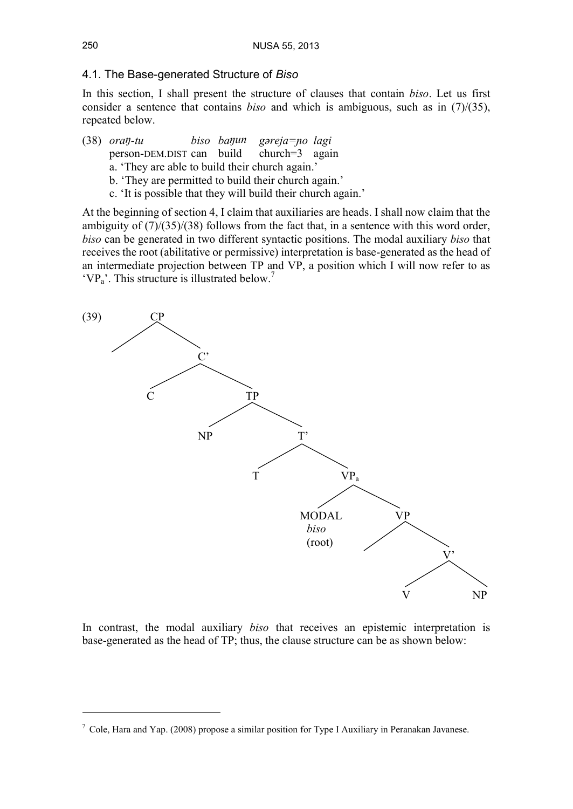### 4.1. The Base-generated Structure of *Biso*

In this section, I shall present the structure of clauses that contain *biso*. Let us first consider a sentence that contains *biso* and which is ambiguous, such as in (7)/(35), repeated below.

(38) *oraŋ-tu biso baŋun gəreja=ɲo lagi*

person-DEM.DIST can build church=3 again

a. 'They are able to build their church again.'

- b. 'They are permitted to build their church again.'
- c. 'It is possible that they will build their church again.'

At the beginning of section 4, I claim that auxiliaries are heads. I shall now claim that the ambiguity of  $(7)/(35)/(38)$  follows from the fact that, in a sentence with this word order, *biso* can be generated in two different syntactic positions. The modal auxiliary *biso* that receives the root (abilitative or permissive) interpretation is base-generated as the head of an intermediate projection between TP and VP, a position which I will now refer to as  $'VP<sub>a</sub>'$ . This structure is illustrated below.<sup>7</sup>



In contrast, the modal auxiliary *biso* that receives an epistemic interpretation is base-generated as the head of TP; thus, the clause structure can be as shown below:

 $^7$  Cole, Hara and Yap. (2008) propose a similar position for Type I Auxiliary in Peranakan Javanese.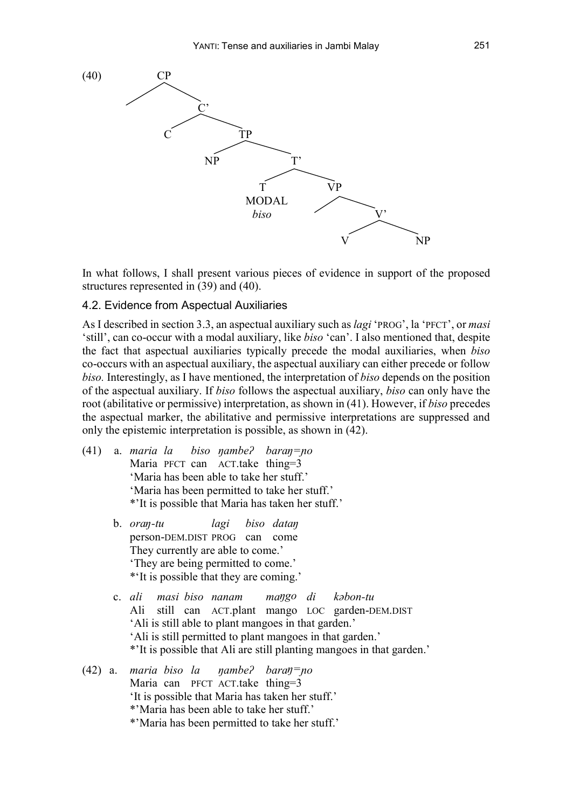

In what follows, I shall present various pieces of evidence in support of the proposed structures represented in (39) and (40).

#### 4.2. Evidence from Aspectual Auxiliaries

As Idescribed in section 3.3, an aspectual auxiliary such as *lagi* 'PROG', la 'PFCT', or *masi* 'still', can co-occur with a modal auxiliary, like *biso* 'can'. I also mentioned that, despite the fact that aspectual auxiliaries typically precede the modal auxiliaries, when *biso* co-occurs with an aspectual auxiliary, the aspectual auxiliary can either precede or follow *biso.* Interestingly, as I have mentioned, the interpretation of *biso* depends on the position of the aspectual auxiliary. If *biso* follows the aspectual auxiliary, *biso* can only have the root (abilitative or permissive) interpretation, as shown in (41). However, if *biso* precedes the aspectual marker, the abilitative and permissive interpretations are suppressed and only the epistemic interpretation is possible, as shown in (42).(41) a. *maria la biso ŋambeʔ baraŋ=ɲo*

- Maria PFCT can ACT.take thing=3 'Maria has been able to take her stuff.' 'Maria has been permitted to take her stuff.' \*'It is possible that Maria has taken her stuff.'
	- b. *oraŋ-tu lagi biso dataŋ* person-DEM.DIST PROG can come They currently are able to come.' 'They are being permitted to come.' \*'It is possible that they are coming.'
	- c. *ali masi biso nanam maŋgo di kəbon-tu* Ali still can ACT.plant mango LOC garden-DEM.DIST 'Ali is still able to plant mangoes in that garden.' 'Ali is still permitted to plant mangoes in that garden.' \*'It is possible that Ali are still planting mangoes in that garden.'

#### (42) a. *maria biso la ŋambeʔ baraŋ=ɲo* Maria can PFCT ACT.take thing=3 'It is possible that Maria has taken her stuff.' \*'Maria has been able to take her stuff.' \*'Maria has been permitted to take her stuff.'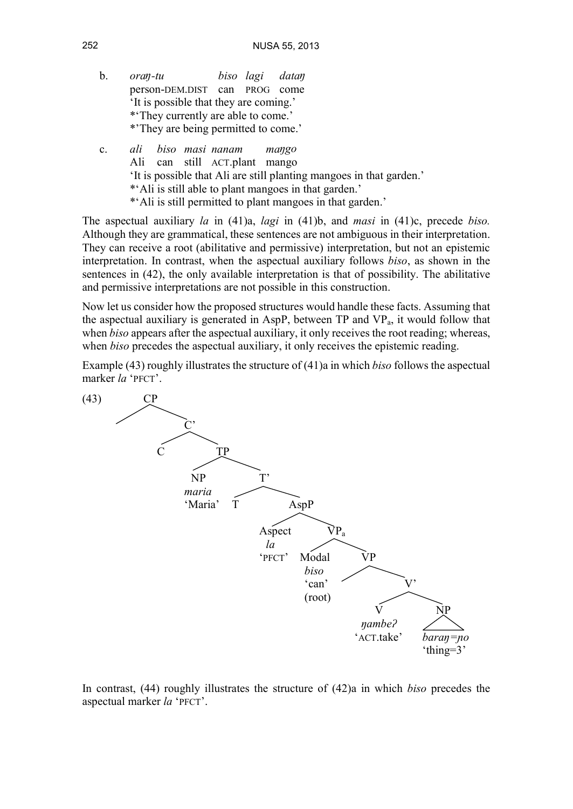- b. *oraŋ-tu biso lagi dataŋ* person-DEM.DIST can PROG come 'It is possible that they are coming.' \*'They currently are able to come.' \*'They are being permitted to come.'
- c. *ali biso masi nanam maŋgo* Ali can still ACT.plant mango 'It is possible that Ali are still planting mangoes in that garden.' \*'Ali is still able to plant mangoes in that garden.' \*'Ali is still permitted to plant mangoes in that garden.'

The aspectual auxiliary *la* in (41)a, *lagi* in (41)b, and *masi* in (41)c, precede *biso.* Although they are grammatical, these sentences are not ambiguous in their interpretation. They can receive a root (abilitative and permissive) interpretation, but not an epistemic interpretation. In contrast, when the aspectual auxiliary follows *biso*, as shown in the sentences in (42), the only available interpretation is that of possibility. The abilitative and permissive interpretations are not possible in this construction.

Now let us consider how the proposed structures would handle these facts. Assuming that the aspectual auxiliary is generated in AspP, between  $TP$  and  $VP<sub>a</sub>$ , it would follow that when *biso* appears after the aspectual auxiliary, it only receives the root reading; whereas, when *biso* precedes the aspectual auxiliary, it only receives the epistemic reading.

Example (43) roughly illustrates the structure of (41)a in which *biso* follows the aspectual marker *la* 'PFCT'.



In contrast, (44) roughly illustrates the structure of (42)a in which *biso* precedes the aspectual marker *la* 'PFCT'.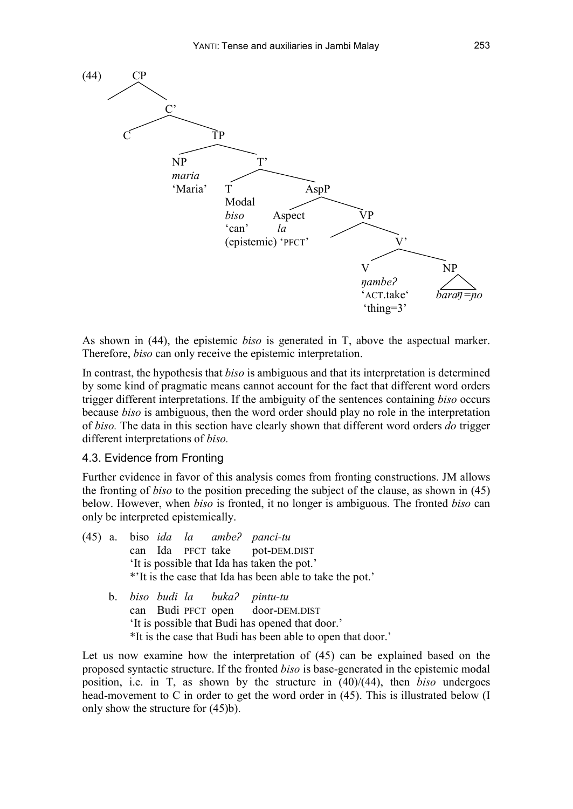

As shown in (44), the epistemic *biso* is generated in T, above the aspectual marker. Therefore, *biso* can only receive the epistemic interpretation.

In contrast, the hypothesis that *biso* is ambiguous and that its interpretation is determined by some kind of pragmatic means cannot account for the fact that different word orders trigger different interpretations. If the ambiguity of the sentences containing *biso* occurs because *biso* is ambiguous, then the word order should play no role in the interpretation of *biso.* The data in this section have clearly shown that different word orders *do* trigger different interpretations of *biso.*

### 4.3. Evidence from Fronting

Further evidence in favor of this analysis comes from fronting constructions. JM allows the fronting of *biso* to the position preceding the subject of the clause, as shown in (45) below. However, when *biso* is fronted, it no longer is ambiguous. The fronted *biso* can only be interpreted epistemically.

|  |  |  | $(45)$ a. biso <i>ida la ambe? panci-tu</i><br>can Ida PFCT take pot-DEM.DIST |
|--|--|--|-------------------------------------------------------------------------------|
|  |  |  | 'It is possible that Ida has taken the pot.'                                  |
|  |  |  | *'It is the case that Ida has been able to take the pot.'                     |
|  |  |  | b. biso budi la buka? pintu-tu<br>can Dudi prop crop deep prit prop           |

can Budi PFCT open door-DEM.DIST 'It is possible that Budi has opened that door.' \*It is the case that Budi has been able to open that door.'

Let us now examine how the interpretation of (45) can be explained based on the proposed syntactic structure. If the fronted *biso* is base-generated in the epistemic modal position, i.e. in T, as shown by the structure in (40)/(44), then *biso* undergoes head-movement to C in order to get the word order in (45). This is illustrated below (I only show the structure for (45)b).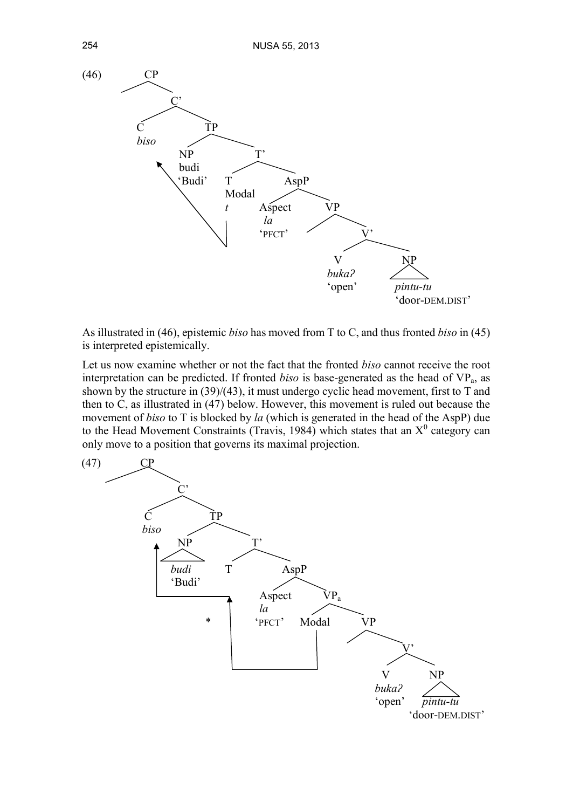

As illustrated in (46), epistemic *biso* has moved from T to C, and thus fronted *biso* in (45) is interpreted epistemically.

Let us now examine whether or not the fact that the fronted *biso* cannot receive the root interpretation can be predicted. If fronted *biso* is base-generated as the head of  $VP_a$ , as shown by the structure in (39)/(43), it must undergo cyclic head movement, first to T and then to C, as illustrated in (47) below. However, this movement is ruled out because the movement of *biso* to T is blocked by *la* (which is generated in the head of the AspP) due to the Head Movement Constraints (Travis, 1984) which states that an  $X^0$  category can only move to a position that governs its maximal projection.

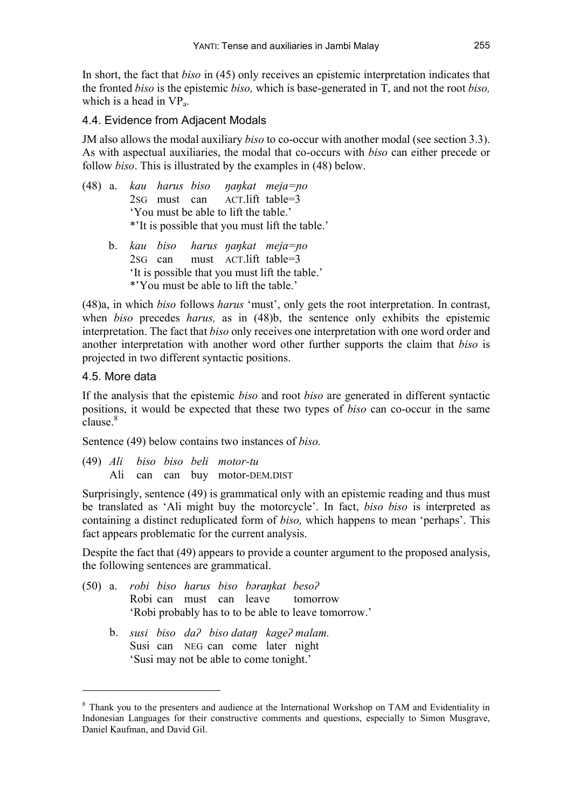In short, the fact that *biso* in (45) only receives an epistemic interpretation indicates that the fronted *biso* is the epistemic *biso,* which is base-generated in T, and not the root *biso,* which is a head in  $VP<sub>a</sub>$ .

## 4.4. Evidence from Adjacent Modals

JM also allows the modal auxiliary *biso* to co-occur with another modal (see section 3.3). As with aspectual auxiliaries, the modal that co-occurs with *biso* can either precede or follow *biso*. This is illustrated by the examples in (48) below.

- (48) a. *kau harus biso ŋaŋkat meja=ɲo* 2SG must can ACT.lift table=3 'You must be able to lift the table.' \*'It is possible that you must lift the table.'
	- b. *kau biso harus ŋaŋkat meja=ɲo* 2SG can must ACT.lift table=3 'It is possible that you must lift the table.' \*'You must be able to lift the table.'

(48)a, in which *biso* follows *harus* 'must', only gets the root interpretation. In contrast, when *biso* precedes *harus,* as in (48)b, the sentence only exhibits the epistemic interpretation. The fact that *biso* only receives one interpretation with one word order and another interpretation with another word other further supports the claim that *biso* is projected in two different syntactic positions.

## 4.5. More data

If the analysis that the epistemic *biso* and root *biso* are generated in different syntactic positions, it would be expected that these two types of *biso* can co-occur in the same  $clause<sup>8</sup>$ 

Sentence (49) below contains two instances of *biso.*

(49) *Ali biso biso beli motor-tu* Ali can can buy motor-DEM.DIST

Surprisingly, sentence (49) is grammatical only with an epistemic reading and thus must be translated as 'Ali might buy the motorcycle'. In fact, *biso biso* is interpreted as containing a distinct reduplicated form of *biso,* which happens to mean 'perhaps'. This fact appears problematic for the current analysis.

Despite the fact that (49) appears to provide a counter argument to the proposed analysis, the following sentences are grammatical.

- (50) a. *robi biso harus biso bəraŋkat besoʔ* Robi can must can leave tomorrow 'Robi probably has to to be able to leave tomorrow.'
	- b. *susi biso daʔ biso dataŋ kageʔ malam.* Susi can NEG can come later night 'Susi may not be able to come tonight.'

<sup>8</sup> Thank you to the presenters and audience at the International Workshop on TAM and Evidentiality in Indonesian Languages for their constructive comments and questions, especially to Simon Musgrave, Daniel Kaufman, and David Gil.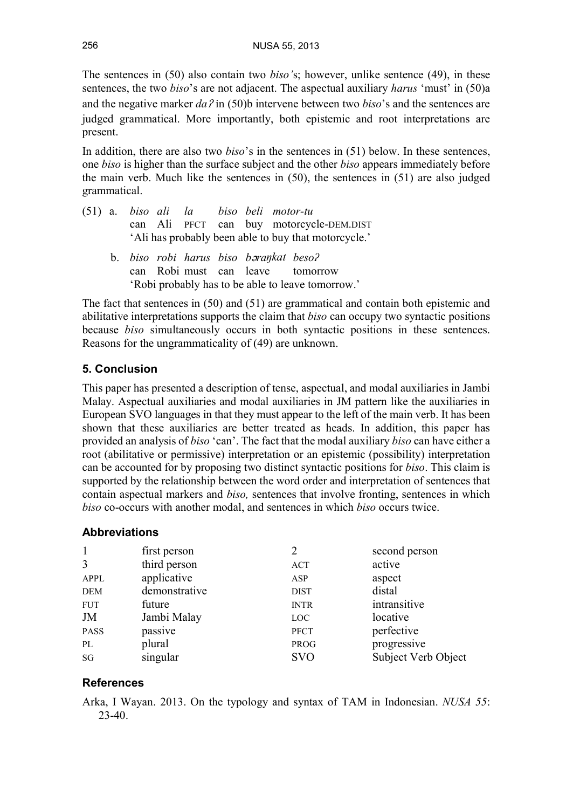The sentences in (50) also contain two *biso'*s; however, unlike sentence (49), in these sentences, the two *biso*'s are not adjacent. The aspectual auxiliary *harus* 'must' in (50)a and the negative marker *da<sup>ʔ</sup>* in (50)b intervene between two *biso*'s and the sentences are judged grammatical. More importantly, both epistemic and root interpretations are present.

In addition, there are also two *biso*'s in the sentences in (51) below. In these sentences, one *biso* is higher than the surface subject and the other *biso* appears immediately before the main verb. Much like the sentences in  $(50)$ , the sentences in  $(51)$  are also judged grammatical.

- (51) a. *biso ali la biso beli motor-tu* can Ali PFCT can buy motorcycle-DEM.DIST 'Ali has probably been able to buy that motorcycle.'
	- b. *biso robi harus biso bəraŋkat besoʔ* can Robi must can leave tomorrow 'Robi probably has to be able to leave tomorrow.'

The fact that sentences in (50) and (51) are grammatical and contain both epistemic and abilitative interpretations supports the claim that *biso* can occupy two syntactic positions because *biso* simultaneously occurs in both syntactic positions in these sentences. Reasons for the ungrammaticality of (49) are unknown.

# **5. Conclusion**

This paper has presented a description of tense, aspectual, and modal auxiliaries in Jambi Malay. Aspectual auxiliaries and modal auxiliaries in JM pattern like the auxiliaries in European SVO languages in that they must appear to the left of the main verb. It has been shown that these auxiliaries are better treated as heads. In addition, this paper has provided an analysis of *biso* 'can'. The fact that the modal auxiliary *biso* can have either a root (abilitative or permissive) interpretation or an epistemic (possibility) interpretation can be accounted forby proposing two distinct syntactic positions for *biso*. This claim is supported by the relationship between the word order and interpretation of sentences that contain aspectual markers and *biso,* sentences that involve fronting, sentences in which *biso* co-occurs with another modal, and sentences in which *biso* occurs twice.

## **Abbreviations**

| $\mathbf{1}$ | first person  |             | second person       |
|--------------|---------------|-------------|---------------------|
| 3            | third person  | ACT         | active              |
| <b>APPL</b>  | applicative   | ASP         | aspect              |
| <b>DEM</b>   | demonstrative | <b>DIST</b> | distal              |
| <b>FUT</b>   | future        | <b>INTR</b> | intransitive        |
| JM           | Jambi Malay   | LOC         | locative            |
| <b>PASS</b>  | passive       | <b>PFCT</b> | perfective          |
| PL           | plural        | PROG        | progressive         |
| SG           | singular      | <b>SVO</b>  | Subject Verb Object |

# **References**

Arka, I Wayan. 2013. On the typology and syntax of TAM in Indonesian. *NUSA 55*: 23-40.